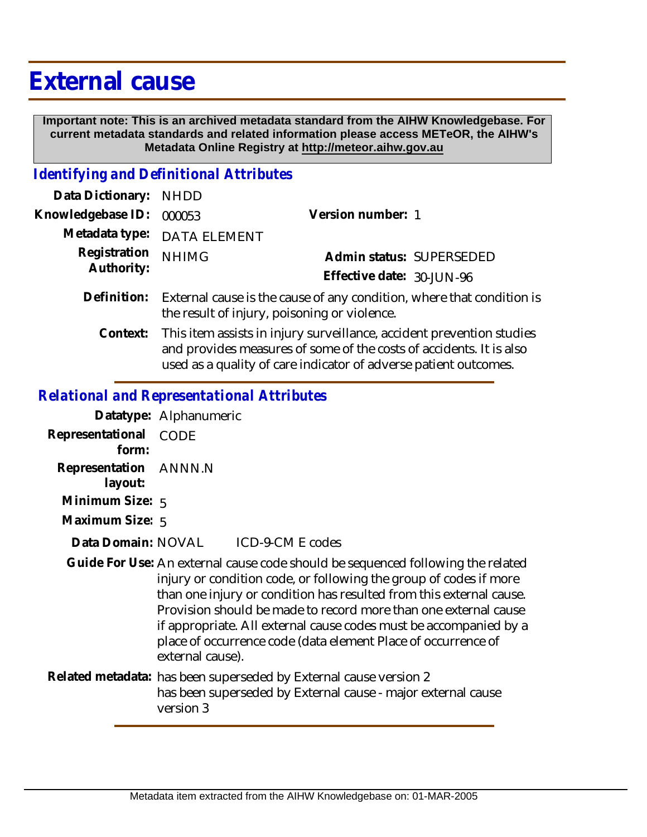## **External cause**

 **Important note: This is an archived metadata standard from the AIHW Knowledgebase. For current metadata standards and related information please access METeOR, the AIHW's Metadata Online Registry at http://meteor.aihw.gov.au**

## *Identifying and Definitional Attributes*

| Data Dictionary: NHDD      |                                                                                                                                              |                           |                          |
|----------------------------|----------------------------------------------------------------------------------------------------------------------------------------------|---------------------------|--------------------------|
| Knowledgebase ID:          | 000053                                                                                                                                       | Version number: 1         |                          |
| Metadata type:             | <b>DATA ELEMENT</b>                                                                                                                          |                           |                          |
| Registration<br>Authority: | <b>NHIMG</b>                                                                                                                                 |                           | Admin status: SUPERSEDED |
|                            |                                                                                                                                              | Effective date: 30-JUN-96 |                          |
| Definition:                | External cause is the cause of any condition, where that condition is<br>the result of injury, poisoning or violence.                        |                           |                          |
| Context:                   | This item assists in injury surveillance, accident prevention studies<br>and provides measures of some of the costs of accidents. It is also |                           |                          |

used as a quality of care indicator of adverse patient outcomes.

## *Relational and Representational Attributes*

| Datatype: Alphanumeric                                                                                                                                                                                                                                                                                                                                                                                                                                   |  |  |
|----------------------------------------------------------------------------------------------------------------------------------------------------------------------------------------------------------------------------------------------------------------------------------------------------------------------------------------------------------------------------------------------------------------------------------------------------------|--|--|
| Representational CODE                                                                                                                                                                                                                                                                                                                                                                                                                                    |  |  |
| Representation ANNN.N                                                                                                                                                                                                                                                                                                                                                                                                                                    |  |  |
| Minimum Size: 5                                                                                                                                                                                                                                                                                                                                                                                                                                          |  |  |
| Maximum Size: 5                                                                                                                                                                                                                                                                                                                                                                                                                                          |  |  |
| Data Domain: NOVAL ICD-9-CM E codes                                                                                                                                                                                                                                                                                                                                                                                                                      |  |  |
| Guide For Use: An external cause code should be sequenced following the related<br>injury or condition code, or following the group of codes if more<br>than one injury or condition has resulted from this external cause.<br>Provision should be made to record more than one external cause<br>if appropriate. All external cause codes must be accompanied by a<br>place of occurrence code (data element Place of occurrence of<br>external cause). |  |  |
| Related metadata: has been superseded by External cause version 2<br>has been superseded by External cause - major external cause<br>version 3                                                                                                                                                                                                                                                                                                           |  |  |
|                                                                                                                                                                                                                                                                                                                                                                                                                                                          |  |  |